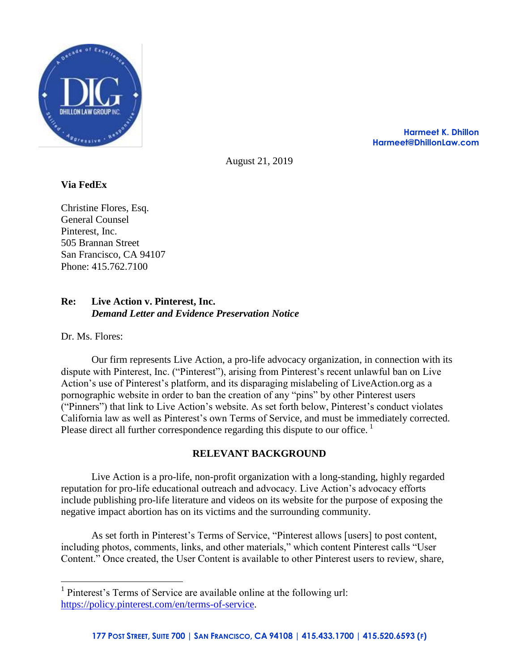

**Harmeet K. Dhillon Harmeet@DhillonLaw.com**

August 21, 2019

# **Via FedEx**

Christine Flores, Esq. General Counsel Pinterest, Inc. 505 Brannan Street San Francisco, CA 94107 Phone: 415.762.7100

## **Re: Live Action v. Pinterest, Inc.** *Demand Letter and Evidence Preservation Notice*

Dr. Ms. Flores:

 $\overline{a}$ 

Our firm represents Live Action, a pro-life advocacy organization, in connection with its dispute with Pinterest, Inc. ("Pinterest"), arising from Pinterest's recent unlawful ban on Live Action's use of Pinterest's platform, and its disparaging mislabeling of LiveAction.org as a pornographic website in order to ban the creation of any "pins" by other Pinterest users ("Pinners") that link to Live Action's website. As set forth below, Pinterest's conduct violates California law as well as Pinterest's own Terms of Service, and must be immediately corrected. Please direct all further correspondence regarding this dispute to our office.  $\frac{1}{1}$ 

# **RELEVANT BACKGROUND**

Live Action is a pro-life, non-profit organization with a long-standing, highly regarded reputation for pro-life educational outreach and advocacy. Live Action's advocacy efforts include publishing pro-life literature and videos on its website for the purpose of exposing the negative impact abortion has on its victims and the surrounding community.

As set forth in Pinterest's Terms of Service, "Pinterest allows [users] to post content, including photos, comments, links, and other materials," which content Pinterest calls "User Content." Once created, the User Content is available to other Pinterest users to review, share,

<sup>&</sup>lt;sup>1</sup> Pinterest's Terms of Service are available online at the following url: [https://policy.pinterest.com/en/terms-of-service.](https://policy.pinterest.com/en/terms-of-service)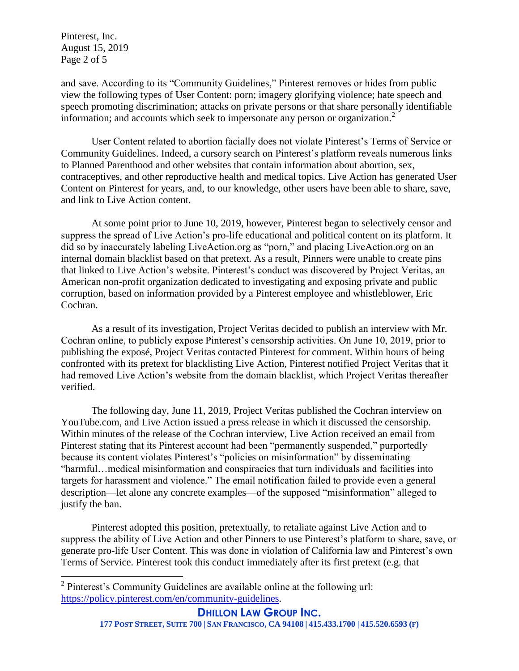Pinterest, Inc. August 15, 2019 Page 2 of 5

and save. According to its "Community Guidelines," Pinterest removes or hides from public view the following types of User Content: porn; imagery glorifying violence; hate speech and speech promoting discrimination; attacks on private persons or that share personally identifiable information; and accounts which seek to impersonate any person or organization.<sup>2</sup>

User Content related to abortion facially does not violate Pinterest's Terms of Service or Community Guidelines. Indeed, a cursory search on Pinterest's platform reveals numerous links to Planned Parenthood and other websites that contain information about abortion, sex, contraceptives, and other reproductive health and medical topics. Live Action has generated User Content on Pinterest for years, and, to our knowledge, other users have been able to share, save, and link to Live Action content.

At some point prior to June 10, 2019, however, Pinterest began to selectively censor and suppress the spread of Live Action's pro-life educational and political content on its platform. It did so by inaccurately labeling LiveAction.org as "porn," and placing LiveAction.org on an internal domain blacklist based on that pretext. As a result, Pinners were unable to create pins that linked to Live Action's website. Pinterest's conduct was discovered by Project Veritas, an American non-profit organization dedicated to investigating and exposing private and public corruption, based on information provided by a Pinterest employee and whistleblower, Eric Cochran.

As a result of its investigation, Project Veritas decided to publish an interview with Mr. Cochran online, to publicly expose Pinterest's censorship activities. On June 10, 2019, prior to publishing the exposé, Project Veritas contacted Pinterest for comment. Within hours of being confronted with its pretext for blacklisting Live Action, Pinterest notified Project Veritas that it had removed Live Action's website from the domain blacklist, which Project Veritas thereafter verified.

The following day, June 11, 2019, Project Veritas published the Cochran interview on YouTube.com, and Live Action issued a press release in which it discussed the censorship. Within minutes of the release of the Cochran interview, Live Action received an email from Pinterest stating that its Pinterest account had been "permanently suspended," purportedly because its content violates Pinterest's "policies on misinformation" by disseminating "harmful…medical misinformation and conspiracies that turn individuals and facilities into targets for harassment and violence." The email notification failed to provide even a general description—let alone any concrete examples—of the supposed "misinformation" alleged to justify the ban.

Pinterest adopted this position, pretextually, to retaliate against Live Action and to suppress the ability of Live Action and other Pinners to use Pinterest's platform to share, save, or generate pro-life User Content. This was done in violation of California law and Pinterest's own Terms of Service. Pinterest took this conduct immediately after its first pretext (e.g. that

 2 Pinterest's Community Guidelines are available online at the following url: [https://policy.pinterest.com/en/community-guidelines.](https://policy.pinterest.com/en/community-guidelines)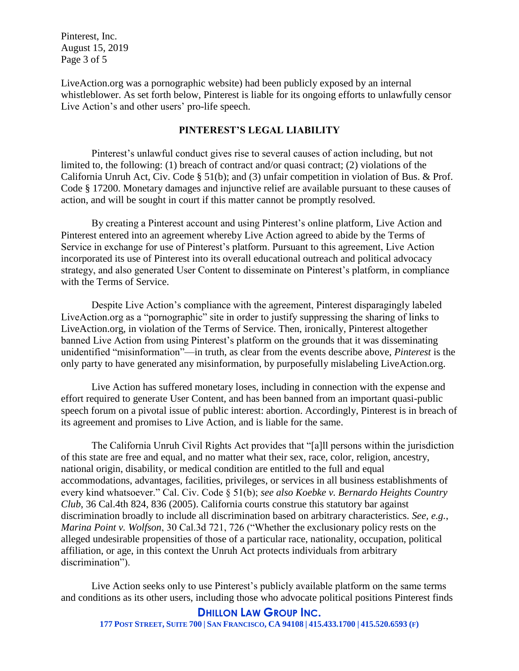Pinterest, Inc. August 15, 2019 Page 3 of 5

LiveAction.org was a pornographic website) had been publicly exposed by an internal whistleblower. As set forth below, Pinterest is liable for its ongoing efforts to unlawfully censor Live Action's and other users' pro-life speech.

## **PINTEREST'S LEGAL LIABILITY**

Pinterest's unlawful conduct gives rise to several causes of action including, but not limited to, the following: (1) breach of contract and/or quasi contract; (2) violations of the California Unruh Act, Civ. Code § 51(b); and (3) unfair competition in violation of Bus. & Prof. Code § 17200. Monetary damages and injunctive relief are available pursuant to these causes of action, and will be sought in court if this matter cannot be promptly resolved.

By creating a Pinterest account and using Pinterest's online platform, Live Action and Pinterest entered into an agreement whereby Live Action agreed to abide by the Terms of Service in exchange for use of Pinterest's platform. Pursuant to this agreement, Live Action incorporated its use of Pinterest into its overall educational outreach and political advocacy strategy, and also generated User Content to disseminate on Pinterest's platform, in compliance with the Terms of Service.

Despite Live Action's compliance with the agreement, Pinterest disparagingly labeled LiveAction.org as a "pornographic" site in order to justify suppressing the sharing of links to LiveAction.org, in violation of the Terms of Service. Then, ironically, Pinterest altogether banned Live Action from using Pinterest's platform on the grounds that it was disseminating unidentified "misinformation"—in truth, as clear from the events describe above, *Pinterest* is the only party to have generated any misinformation, by purposefully mislabeling LiveAction.org.

Live Action has suffered monetary loses, including in connection with the expense and effort required to generate User Content, and has been banned from an important quasi-public speech forum on a pivotal issue of public interest: abortion. Accordingly, Pinterest is in breach of its agreement and promises to Live Action, and is liable for the same.

The California Unruh Civil Rights Act provides that "[a]ll persons within the jurisdiction of this state are free and equal, and no matter what their sex, race, color, religion, ancestry, national origin, disability, or medical condition are entitled to the full and equal accommodations, advantages, facilities, privileges, or services in all business establishments of every kind whatsoever." Cal. Civ. Code § 51(b); *see also Koebke v. Bernardo Heights Country Club*, 36 Cal.4th 824, 836 (2005). California courts construe this statutory bar against discrimination broadly to include all discrimination based on arbitrary characteristics. *See, e.g.*, *Marina Point v. Wolfson*, 30 Cal.3d 721, 726 ("Whether the exclusionary policy rests on the alleged undesirable propensities of those of a particular race, nationality, occupation, political affiliation, or age, in this context the Unruh Act protects individuals from arbitrary discrimination").

Live Action seeks only to use Pinterest's publicly available platform on the same terms and conditions as its other users, including those who advocate political positions Pinterest finds

### **DHILLON LAW GROUP INC.**

177 POST STREET, SUITE 700 | SAN FRANCISCO, CA 94108 | 415.433.1700 | 415.520.6593 (F)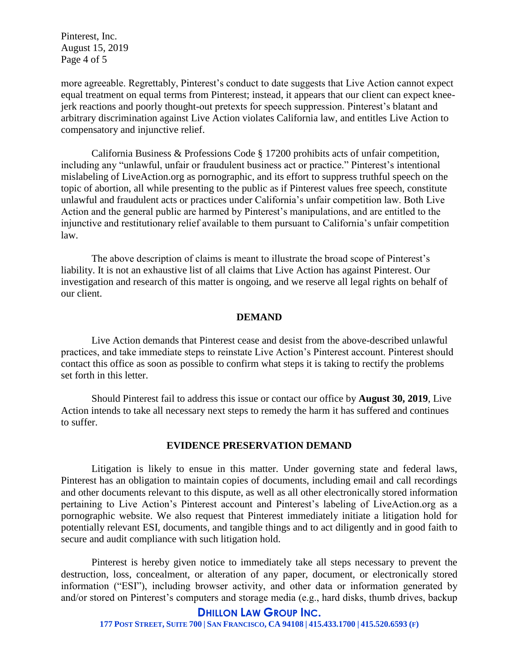Pinterest, Inc. August 15, 2019 Page 4 of 5

more agreeable. Regrettably, Pinterest's conduct to date suggests that Live Action cannot expect equal treatment on equal terms from Pinterest; instead, it appears that our client can expect kneejerk reactions and poorly thought-out pretexts for speech suppression. Pinterest's blatant and arbitrary discrimination against Live Action violates California law, and entitles Live Action to compensatory and injunctive relief.

California Business & Professions Code § 17200 prohibits acts of unfair competition, including any "unlawful, unfair or fraudulent business act or practice." Pinterest's intentional mislabeling of LiveAction.org as pornographic, and its effort to suppress truthful speech on the topic of abortion, all while presenting to the public as if Pinterest values free speech, constitute unlawful and fraudulent acts or practices under California's unfair competition law. Both Live Action and the general public are harmed by Pinterest's manipulations, and are entitled to the injunctive and restitutionary relief available to them pursuant to California's unfair competition law.

The above description of claims is meant to illustrate the broad scope of Pinterest's liability. It is not an exhaustive list of all claims that Live Action has against Pinterest. Our investigation and research of this matter is ongoing, and we reserve all legal rights on behalf of our client.

### **DEMAND**

Live Action demands that Pinterest cease and desist from the above-described unlawful practices, and take immediate steps to reinstate Live Action's Pinterest account. Pinterest should contact this office as soon as possible to confirm what steps it is taking to rectify the problems set forth in this letter.

Should Pinterest fail to address this issue or contact our office by **August 30, 2019**, Live Action intends to take all necessary next steps to remedy the harm it has suffered and continues to suffer.

#### **EVIDENCE PRESERVATION DEMAND**

Litigation is likely to ensue in this matter. Under governing state and federal laws, Pinterest has an obligation to maintain copies of documents, including email and call recordings and other documents relevant to this dispute, as well as all other electronically stored information pertaining to Live Action's Pinterest account and Pinterest's labeling of LiveAction.org as a pornographic website. We also request that Pinterest immediately initiate a litigation hold for potentially relevant ESI, documents, and tangible things and to act diligently and in good faith to secure and audit compliance with such litigation hold.

Pinterest is hereby given notice to immediately take all steps necessary to prevent the destruction, loss, concealment, or alteration of any paper, document, or electronically stored information ("ESI"), including browser activity, and other data or information generated by and/or stored on Pinterest's computers and storage media (e.g., hard disks, thumb drives, backup

#### **DHILLON LAW GROUP INC.**

177 POST STREET, SUITE 700 | SAN FRANCISCO, CA 94108 | 415.433.1700 | 415.520.6593 (F)